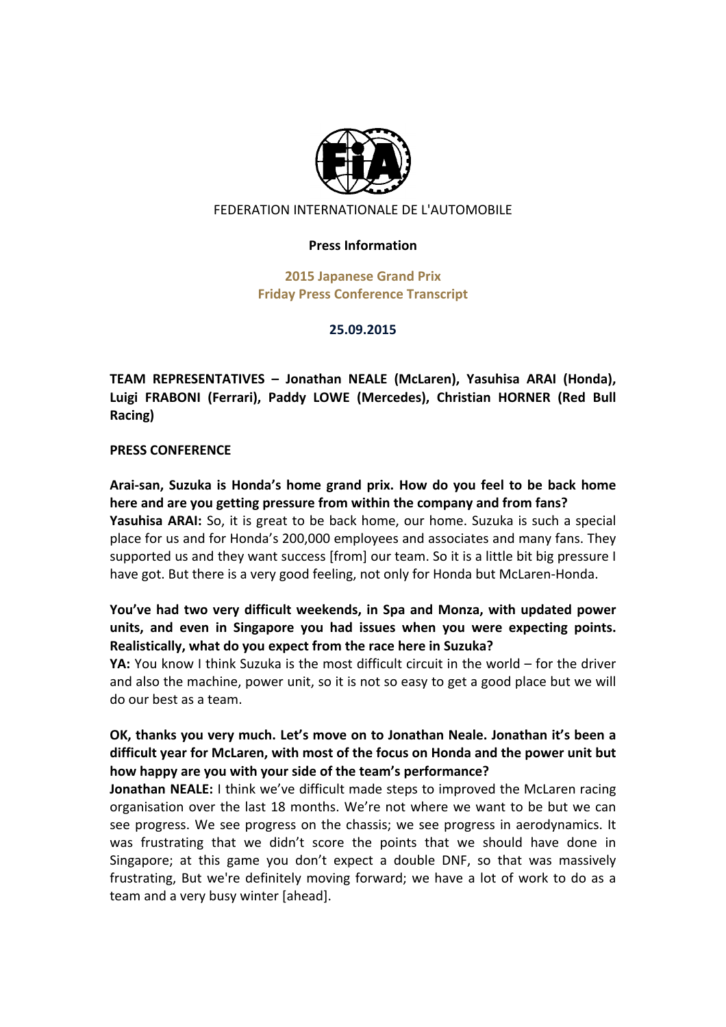

### FEDERATION INTERNATIONALE DE L'AUTOMOBILE

#### **Press!Information**

**2015 Japanese Grand Prix Friday Press Conference Transcript** 

#### **25.09.2015**

**TEAM REPRESENTATIVES - Jonathan NEALE (McLaren), Yasuhisa ARAI (Honda),** Luigi FRABONI (Ferrari), Paddy LOWE (Mercedes), Christian HORNER (Red Bull **Racing)**

#### **PRESS CONFERENCE**

Arai-san, Suzuka is Honda's home grand prix. How do you feel to be back home here and are you getting pressure from within the company and from fans? **Yasuhisa ARAI:** So, it is great to be back home, our home. Suzuka is such a special place for us and for Honda's 200,000 employees and associates and many fans. They supported us and they want success [from] our team. So it is a little bit big pressure I have got. But there is a very good feeling, not only for Honda but McLaren-Honda.

### You've had two very difficult weekends, in Spa and Monza, with updated power units, and even in Singapore you had issues when you were expecting points. **Realistically, what do you expect from the race here in Suzuka?**

**YA:** You know I think Suzuka is the most difficult circuit in the world – for the driver and also the machine, power unit, so it is not so easy to get a good place but we will do our best as a team.

### **OK, thanks you very much. Let's move on to Jonathan Neale. Jonathan it's been a** difficult year for McLaren, with most of the focus on Honda and the power unit but how happy are you with your side of the team's performance?

**Jonathan NEALE:** I think we've difficult made steps to improved the McLaren racing organisation over the last 18 months. We're not where we want to be but we can see progress. We see progress on the chassis; we see progress in aerodynamics. It was frustrating that we didn't score the points that we should have done in Singapore; at this game you don't expect a double DNF, so that was massively frustrating, But we're definitely moving forward; we have a lot of work to do as a team and a very busy winter [ahead].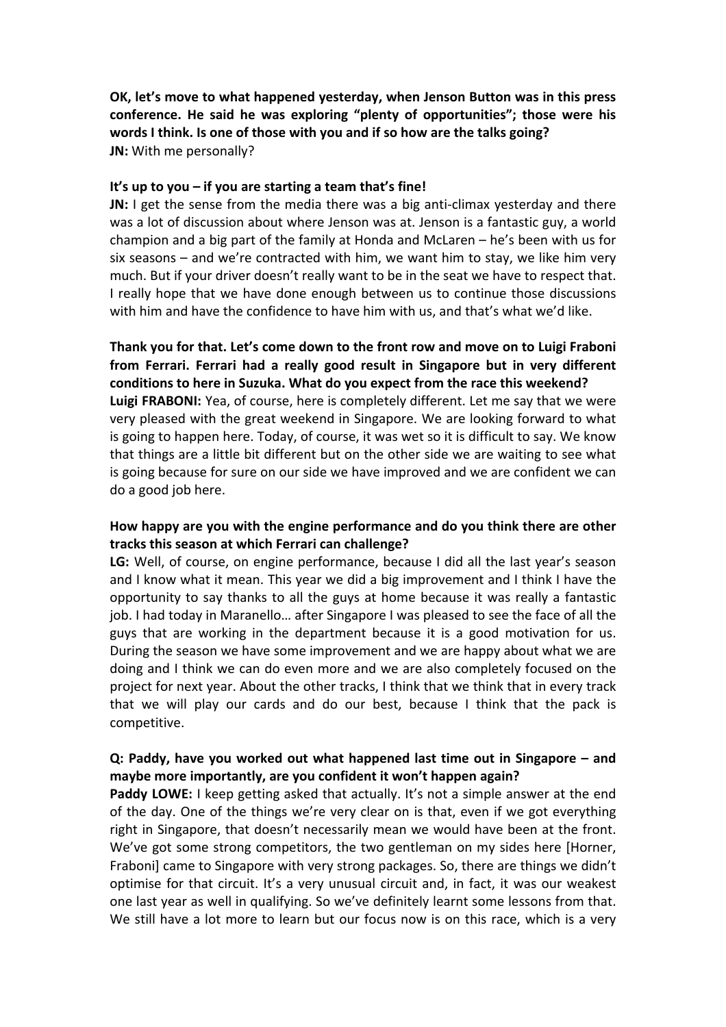**OK, let's move to what happened yesterday, when Jenson Button was in this press** conference. He said he was exploring "plenty of opportunities"; those were his **words I think. Is one of those with you and if so how are the talks going? JN:** With me personally?

#### It's up to you – if you are starting a team that's fine!

**JN:** I get the sense from the media there was a big anti-climax yesterday and there was a lot of discussion about where Jenson was at. Jenson is a fantastic guy, a world champion and a big part of the family at Honda and McLaren  $-$  he's been with us for six seasons – and we're contracted with him, we want him to stay, we like him very much. But if your driver doesn't really want to be in the seat we have to respect that. I really hope that we have done enough between us to continue those discussions with him and have the confidence to have him with us, and that's what we'd like.

Thank you for that. Let's come down to the front row and move on to Luigi Fraboni from Ferrari. Ferrari had a really good result in Singapore but in very different conditions to here in Suzuka. What do you expect from the race this weekend? **Luigi FRABONI:** Yea, of course, here is completely different. Let me say that we were very pleased with the great weekend in Singapore. We are looking forward to what is going to happen here. Today, of course, it was wet so it is difficult to say. We know that things are a little bit different but on the other side we are waiting to see what is going because for sure on our side we have improved and we are confident we can do a good job here.

### How happy are you with the engine performance and do you think there are other tracks this season at which Ferrari can challenge?

LG: Well, of course, on engine performance, because I did all the last year's season and I know what it mean. This year we did a big improvement and I think I have the opportunity to say thanks to all the guys at home because it was really a fantastic job. I had today in Maranello... after Singapore I was pleased to see the face of all the guys that are working in the department because it is a good motivation for us. During the season we have some improvement and we are happy about what we are doing and I think we can do even more and we are also completely focused on the project for next year. About the other tracks, I think that we think that in every track that we will play our cards and do our best, because I think that the pack is competitive.

### **Q: Paddy, have you worked out what happened last time out in Singapore – and** maybe more importantly, are you confident it won't happen again?

**Paddy LOWE:** I keep getting asked that actually. It's not a simple answer at the end of the day. One of the things we're very clear on is that, even if we got everything right in Singapore, that doesn't necessarily mean we would have been at the front. We've got some strong competitors, the two gentleman on my sides here [Horner, Fraboni] came to Singapore with very strong packages. So, there are things we didn't optimise for that circuit. It's a very unusual circuit and, in fact, it was our weakest one last year as well in qualifying. So we've definitely learnt some lessons from that. We still have a lot more to learn but our focus now is on this race, which is a very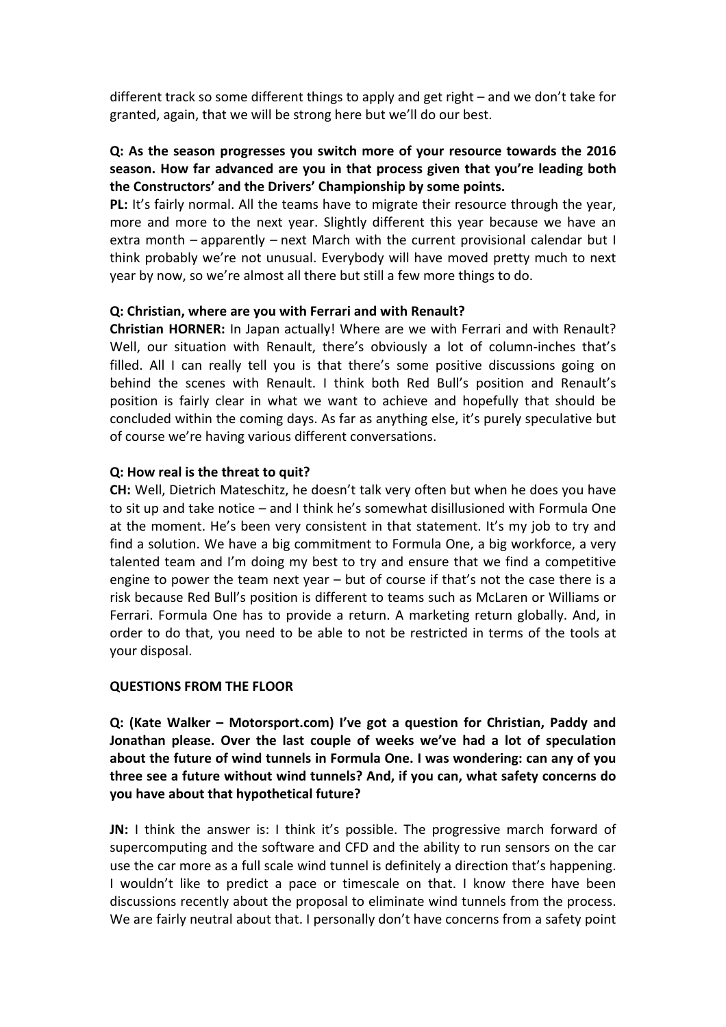different track so some different things to apply and get right – and we don't take for granted, again, that we will be strong here but we'll do our best.

## **Q: As the season progresses you switch more of your resource towards the 2016** season. How far advanced are you in that process given that you're leading both the Constructors' and the Drivers' Championship by some points.

**PL:** It's fairly normal. All the teams have to migrate their resource through the year, more and more to the next year. Slightly different this year because we have an extra month – apparently – next March with the current provisional calendar but I think probably we're not unusual. Everybody will have moved pretty much to next year by now, so we're almost all there but still a few more things to do.

### **Q: Christian, where are you with Ferrari and with Renault?**

Christian HORNER: In Japan actually! Where are we with Ferrari and with Renault? Well, our situation with Renault, there's obviously a lot of column-inches that's filled. All I can really tell you is that there's some positive discussions going on behind the scenes with Renault. I think both Red Bull's position and Renault's position is fairly clear in what we want to achieve and hopefully that should be concluded within the coming days. As far as anything else, it's purely speculative but of course we're having various different conversations.

### **Q: How real is the threat to quit?**

**CH:** Well, Dietrich Mateschitz, he doesn't talk very often but when he does you have to sit up and take notice – and I think he's somewhat disillusioned with Formula One at the moment. He's been very consistent in that statement. It's my job to try and find a solution. We have a big commitment to Formula One, a big workforce, a very talented team and I'm doing my best to try and ensure that we find a competitive engine to power the team next year  $-$  but of course if that's not the case there is a risk because Red Bull's position is different to teams such as McLaren or Williams or Ferrari. Formula One has to provide a return. A marketing return globally. And, in order to do that, you need to be able to not be restricted in terms of the tools at your disposal.

### **QUESTIONS FROM THE FLOOR**

**Q: (Kate Walker – Motorsport.com) I've got a question for Christian, Paddy and** Jonathan please. Over the last couple of weeks we've had a lot of speculation about the future of wind tunnels in Formula One. I was wondering: can any of you **three see a future without wind tunnels? And, if you can, what safety concerns do you have about that hypothetical future?** 

**JN:** I think the answer is: I think it's possible. The progressive march forward of supercomputing and the software and CFD and the ability to run sensors on the car use the car more as a full scale wind tunnel is definitely a direction that's happening. I wouldn't like to predict a pace or timescale on that. I know there have been discussions recently about the proposal to eliminate wind tunnels from the process. We are fairly neutral about that. I personally don't have concerns from a safety point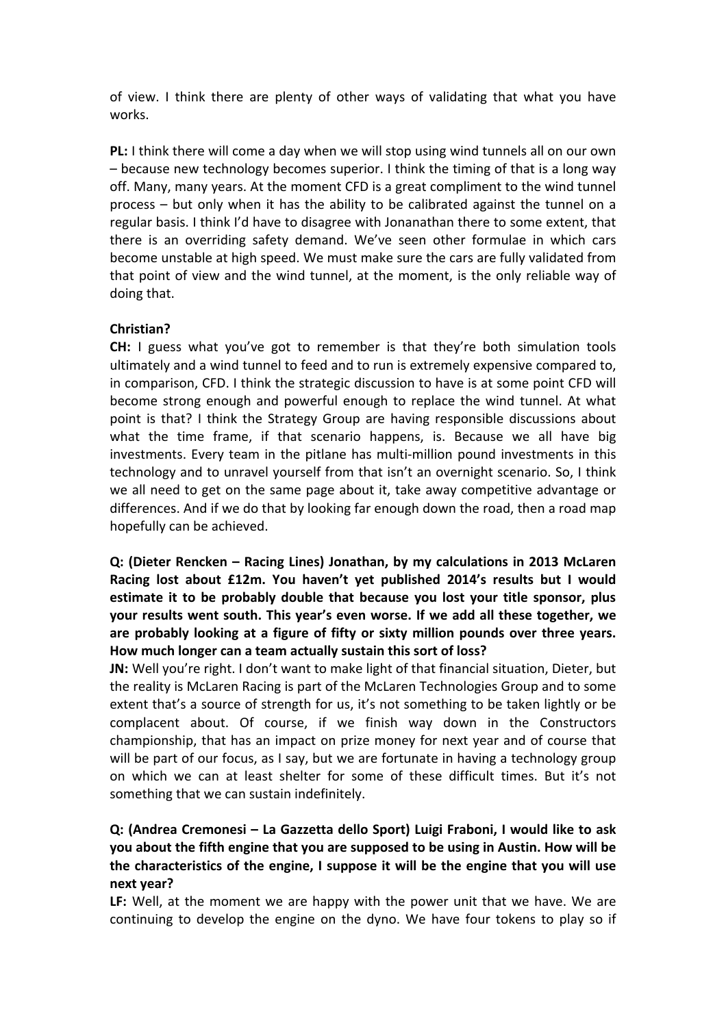of view. I think there are plenty of other ways of validating that what you have works.

**PL:** I think there will come a day when we will stop using wind tunnels all on our own  $-$  because new technology becomes superior. I think the timing of that is a long way off. Many, many years. At the moment CFD is a great compliment to the wind tunnel process  $-$  but only when it has the ability to be calibrated against the tunnel on a regular basis. I think I'd have to disagree with Jonanathan there to some extent, that there is an overriding safety demand. We've seen other formulae in which cars become unstable at high speed. We must make sure the cars are fully validated from that point of view and the wind tunnel, at the moment, is the only reliable way of doing that.

# **Christian?**

**CH:** I guess what you've got to remember is that they're both simulation tools ultimately and a wind tunnel to feed and to run is extremely expensive compared to, in comparison, CFD. I think the strategic discussion to have is at some point CFD will become strong enough and powerful enough to replace the wind tunnel. At what point is that? I think the Strategy Group are having responsible discussions about what the time frame, if that scenario happens, is. Because we all have big investments. Every team in the pitlane has multi-million pound investments in this technology and to unravel yourself from that isn't an overnight scenario. So, I think we all need to get on the same page about it, take away competitive advantage or differences. And if we do that by looking far enough down the road, then a road map hopefully can be achieved.

# **Q: (Dieter Rencken – Racing Lines) Jonathan, by my calculations in 2013 McLaren** Racing lost about £12m. You haven't yet published 2014's results but I would estimate it to be probably double that because you lost your title sponsor, plus **your results went south. This year's even worse. If we add all these together, we** are probably looking at a figure of fifty or sixty million pounds over three years. How much longer can a team actually sustain this sort of loss?

**JN:** Well you're right. I don't want to make light of that financial situation, Dieter, but the reality is McLaren Racing is part of the McLaren Technologies Group and to some extent that's a source of strength for us, it's not something to be taken lightly or be complacent about. Of course, if we finish way down in the Constructors championship, that has an impact on prize money for next year and of course that will be part of our focus, as I say, but we are fortunate in having a technology group on which we can at least shelter for some of these difficult times. But it's not something that we can sustain indefinitely.

# **Q: (Andrea Cremonesi – La Gazzetta dello Sport) Luigi Fraboni, I would like to ask you about the fifth engine that you are supposed to be using in Austin. How will be** the characteristics of the engine, I suppose it will be the engine that you will use **next!year?!**

**LF:** Well, at the moment we are happy with the power unit that we have. We are continuing to develop the engine on the dyno. We have four tokens to play so if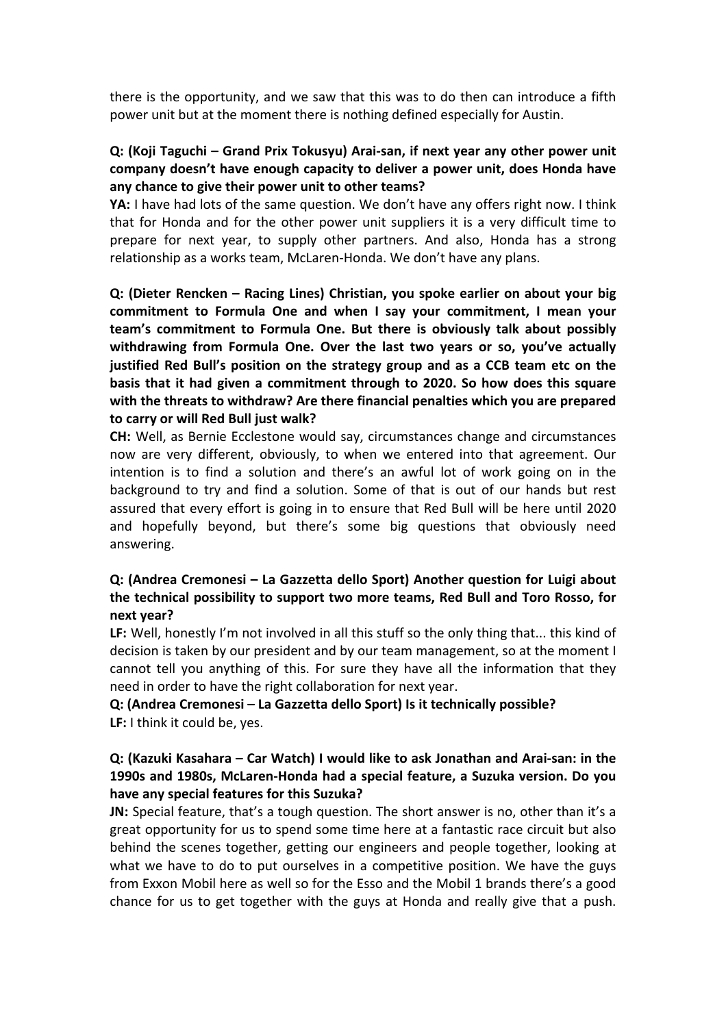there is the opportunity, and we saw that this was to do then can introduce a fifth power unit but at the moment there is nothing defined especially for Austin.

### **Q: (Koji Taguchi – Grand Prix Tokusyu) Arai-san, if next year any other power unit** company doesn't have enough capacity to deliver a power unit, does Honda have any chance to give their power unit to other teams?

**YA:** I have had lots of the same question. We don't have any offers right now. I think that for Honda and for the other power unit suppliers it is a very difficult time to prepare for next year, to supply other partners. And also, Honda has a strong relationship as a works team, McLaren-Honda. We don't have any plans.

**Q: (Dieter Rencken – Racing Lines) Christian, you spoke earlier on about your big commitment to Formula One and when I say your commitment, I mean your** team's commitment to Formula One. But there is obviously talk about possibly withdrawing from Formula One. Over the last two years or so, you've actually justified Red Bull's position on the strategy group and as a CCB team etc on the basis that it had given a commitment through to 2020. So how does this square with the threats to withdraw? Are there financial penalties which you are prepared to carry or will Red Bull just walk?

**CH: Well, as Bernie Ecclestone would say, circumstances change and circumstances** now are very different, obviously, to when we entered into that agreement. Our intention is to find a solution and there's an awful lot of work going on in the background to try and find a solution. Some of that is out of our hands but rest assured that every effort is going in to ensure that Red Bull will be here until 2020 and hopefully beyond, but there's some big questions that obviously need answering.

# **Q: (Andrea Cremonesi – La Gazzetta dello Sport) Another question for Luigi about** the technical possibility to support two more teams, Red Bull and Toro Rosso, for **next!year?!**

LF: Well, honestly I'm not involved in all this stuff so the only thing that... this kind of decision is taken by our president and by our team management, so at the moment I cannot tell you anything of this. For sure they have all the information that they need in order to have the right collaboration for next year.

# **Q: (Andrea Cremonesi – La Gazzetta dello Sport) Is it technically possible? LF:** I think it could be, yes.

# **Q: (Kazuki Kasahara – Car Watch) I would like to ask Jonathan and Arai-san: in the** 1990s and 1980s, McLaren-Honda had a special feature, a Suzuka version. Do you have any special features for this Suzuka?

**JN:** Special feature, that's a tough question. The short answer is no, other than it's a great opportunity for us to spend some time here at a fantastic race circuit but also behind the scenes together, getting our engineers and people together, looking at what we have to do to put ourselves in a competitive position. We have the guys from Exxon Mobil here as well so for the Esso and the Mobil 1 brands there's a good chance for us to get together with the guys at Honda and really give that a push.